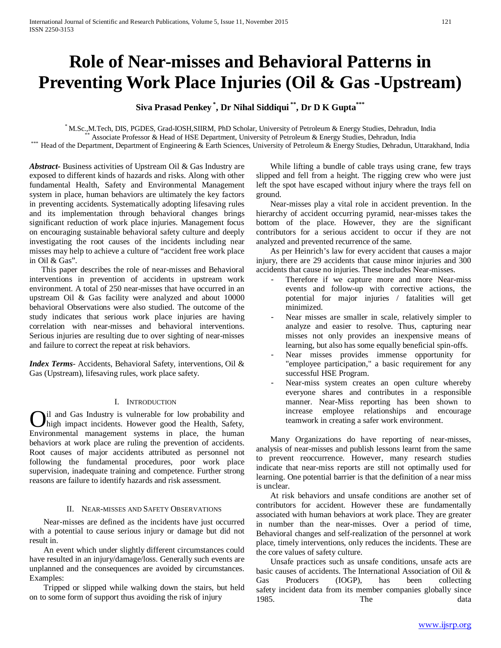# **Role of Near-misses and Behavioral Patterns in Preventing Work Place Injuries (Oil & Gas -Upstream)**

## **Siva Prasad Penkey \* , Dr Nihal Siddiqui \*\*, Dr D K Gupta\*\*\***

\* M.Sc., M.Tech, DIS, PGDES, Grad-IOSH, SIIRM, PhD Scholar, University of Petroleum & Energy Studies, Dehradun, India<br>\*\* Associate Professor & Head of HSE Department, University of Petroleum & Energy Studies, Dehradun, Ind

*Abstract***-** Business activities of Upstream Oil & Gas Industry are exposed to different kinds of hazards and risks. Along with other fundamental Health, Safety and Environmental Management system in place, human behaviors are ultimately the key factors in preventing accidents. Systematically adopting lifesaving rules and its implementation through behavioral changes brings significant reduction of work place injuries. Management focus on encouraging sustainable behavioral safety culture and deeply investigating the root causes of the incidents including near misses may help to achieve a culture of "accident free work place in Oil & Gas".

 This paper describes the role of near-misses and Behavioral interventions in prevention of accidents in upstream work environment. A total of 250 near-misses that have occurred in an upstream Oil & Gas facility were analyzed and about 10000 behavioral Observations were also studied. The outcome of the study indicates that serious work place injuries are having correlation with near-misses and behavioral interventions. Serious injuries are resulting due to over sighting of near-misses and failure to correct the repeat at risk behaviors.

*Index Terms*- Accidents, Behavioral Safety, interventions, Oil & Gas (Upstream), lifesaving rules, work place safety.

## I. INTRODUCTION

il and Gas Industry is vulnerable for low probability and high impact incidents. However good the Health, Safety, **O**il and Gas Industry is vulnerable for low probability and high impact incidents. However good the Health, Safety, Environmental management systems in place, the human behaviors at work place are ruling the prevention of accidents. Root causes of major accidents attributed as personnel not following the fundamental procedures, poor work place supervision, inadequate training and competence. Further strong reasons are failure to identify hazards and risk assessment.

## II. NEAR-MISSES AND SAFETY OBSERVATIONS

 Near-misses are defined as the incidents have just occurred with a potential to cause serious injury or damage but did not result in.

 An event which under slightly different circumstances could have resulted in an injury/damage/loss. Generally such events are unplanned and the consequences are avoided by circumstances. Examples:

 Tripped or slipped while walking down the stairs, but held on to some form of support thus avoiding the risk of injury

 While lifting a bundle of cable trays using crane, few trays slipped and fell from a height. The rigging crew who were just left the spot have escaped without injury where the trays fell on ground.

 Near-misses play a vital role in accident prevention. In the hierarchy of accident occurring pyramid, near-misses takes the bottom of the place. However, they are the significant contributors for a serious accident to occur if they are not analyzed and prevented recurrence of the same.

 As per Heinrich's law for every accident that causes a major injury, there are 29 accidents that cause minor injuries and 300 accidents that cause no injuries. These includes Near-misses.

- Therefore if we capture more and more Near-miss events and follow-up with corrective actions, the potential for major injuries / fatalities will get minimized.
- Near misses are smaller in scale, relatively simpler to analyze and easier to resolve. Thus, capturing near misses not only provides an inexpensive means of learning, but also has some equally beneficial spin-offs.
- Near misses provides immense opportunity for "employee participation," a basic requirement for any successful HSE Program.
- Near-miss system creates an open culture whereby everyone shares and contributes in a responsible manner. Near-Miss reporting has been shown to increase employee relationships and encourage teamwork in creating a safer work environment.

 Many Organizations do have reporting of near-misses, analysis of near-misses and publish lessons learnt from the same to prevent reoccurrence. However, many research studies indicate that near-miss reports are still not optimally used for learning. One potential barrier is that the definition of a near miss is unclear.

 At risk behaviors and unsafe conditions are another set of contributors for accident. However these are fundamentally associated with human behaviors at work place. They are greater in number than the near-misses. Over a period of time, Behavioral changes and self-realization of the personnel at work place, timely interventions, only reduces the incidents. These are the core values of safety culture.

 Unsafe practices such as unsafe conditions, unsafe acts are basic causes of accidents. The International Association of Oil & Gas Producers (IOGP), has been collecting safety incident data from its member companies globally since 1985. The data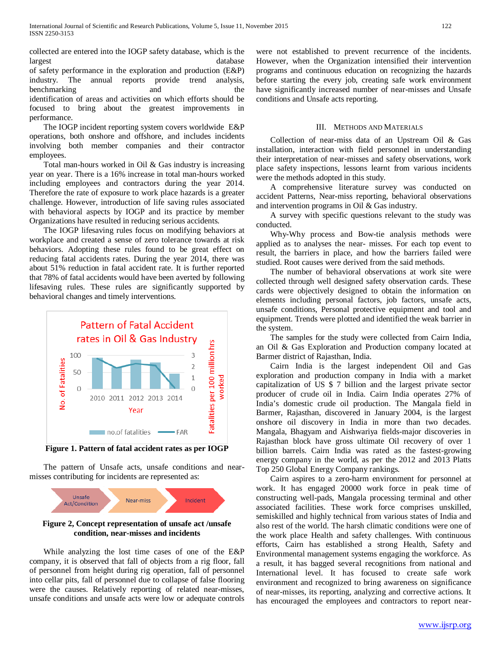collected are entered into the IOGP safety database, which is the largest database of safety performance in the exploration and production (E&P) industry. The annual reports provide trend analysis, benchmarking and the identification of areas and activities on which efforts should be focused to bring about the greatest improvements in performance.

 The IOGP incident reporting system covers worldwide E&P operations, both onshore and offshore, and includes incidents involving both member companies and their contractor employees.

 Total man-hours worked in Oil & Gas industry is increasing year on year. There is a 16% increase in total man-hours worked including employees and contractors during the year 2014. Therefore the rate of exposure to work place hazards is a greater challenge. However, introduction of life saving rules associated with behavioral aspects by IOGP and its practice by member Organizations have resulted in reducing serious accidents.

 The IOGP lifesaving rules focus on modifying behaviors at workplace and created a sense of zero tolerance towards at risk behaviors. Adopting these rules found to be great effect on reducing fatal accidents rates. During the year 2014, there was about 51% reduction in fatal accident rate. It is further reported that 78% of fatal accidents would have been averted by following lifesaving rules. These rules are significantly supported by behavioral changes and timely interventions.



**Figure 1. Pattern of fatal accident rates as per IOGP**

 The pattern of Unsafe acts, unsafe conditions and nearmisses contributing for incidents are represented as:



**Figure 2, Concept representation of unsafe act /unsafe condition, near-misses and incidents**

 While analyzing the lost time cases of one of the E&P company, it is observed that fall of objects from a rig floor, fall of personnel from height during rig operation, fall of personnel into cellar pits, fall of personnel due to collapse of false flooring were the causes. Relatively reporting of related near-misses, unsafe conditions and unsafe acts were low or adequate controls were not established to prevent recurrence of the incidents. However, when the Organization intensified their intervention programs and continuous education on recognizing the hazards before starting the every job, creating safe work environment have significantly increased number of near-misses and Unsafe conditions and Unsafe acts reporting.

## III. METHODS AND MATERIALS

 Collection of near-miss data of an Upstream Oil & Gas installation, interaction with field personnel in understanding their interpretation of near-misses and safety observations, work place safety inspections, lessons learnt from various incidents were the methods adopted in this study.

 A comprehensive literature survey was conducted on accident Patterns, Near-miss reporting, behavioral observations and intervention programs in Oil & Gas industry.

 A survey with specific questions relevant to the study was conducted.

 Why-Why process and Bow-tie analysis methods were applied as to analyses the near- misses. For each top event to result, the barriers in place, and how the barriers failed were studied. Root causes were derived from the said methods.

 The number of behavioral observations at work site were collected through well designed safety observation cards. These cards were objectively designed to obtain the information on elements including personal factors, job factors, unsafe acts, unsafe conditions, Personal protective equipment and tool and equipment. Trends were plotted and identified the weak barrier in the system.

 The samples for the study were collected from Cairn India, an Oil & Gas Exploration and Production company located at Barmer district of Rajasthan, India.

 Cairn India is the largest independent Oil and Gas exploration and production company in India with a market capitalization of US \$ 7 billion and the largest private sector producer of crude oil in India. Cairn India operates 27% of India's domestic crude oil production. The Mangala field in Barmer, Rajasthan, discovered in January 2004, is the largest onshore oil discovery in India in more than two decades. Mangala, Bhagyam and Aishwariya fields-major discoveries in Rajasthan block have gross ultimate Oil recovery of over 1 billion barrels. Cairn India was rated as the fastest-growing energy company in the world, as per the 2012 and 2013 Platts Top 250 Global Energy Company rankings.

 Cairn aspires to a zero-harm environment for personnel at work. It has engaged 20000 work force in peak time of constructing well-pads, Mangala processing terminal and other associated facilities. These work force comprises unskilled, semiskilled and highly technical from various states of India and also rest of the world. The harsh climatic conditions were one of the work place Health and safety challenges. With continuous efforts, Cairn has established a strong Health, Safety and Environmental management systems engaging the workforce. As a result, it has bagged several recognitions from national and International level. It has focused to create safe work environment and recognized to bring awareness on significance of near-misses, its reporting, analyzing and corrective actions. It has encouraged the employees and contractors to report near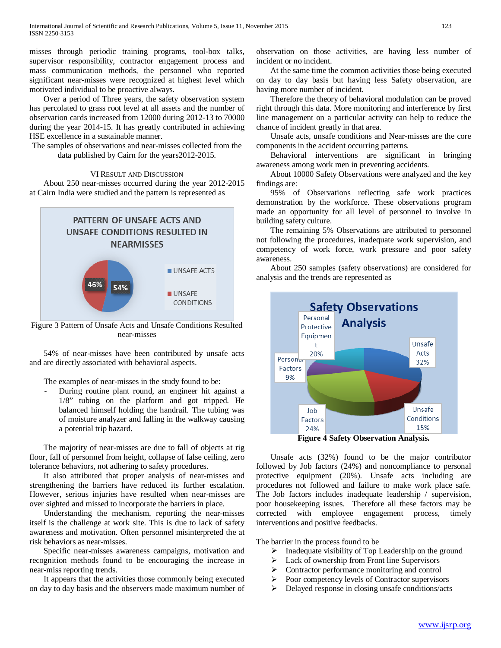misses through periodic training programs, tool-box talks, supervisor responsibility, contractor engagement process and mass communication methods, the personnel who reported significant near-misses were recognized at highest level which motivated individual to be proactive always.

 Over a period of Three years, the safety observation system has percolated to grass root level at all assets and the number of observation cards increased from 12000 during 2012-13 to 70000 during the year 2014-15. It has greatly contributed in achieving HSE excellence in a sustainable manner.

The samples of observations and near-misses collected from the data published by Cairn for the years2012-2015.

### VI RESULT AND DISCUSSION

 About 250 near-misses occurred during the year 2012-2015 at Cairn India were studied and the pattern is represented as



Figure 3 Pattern of Unsafe Acts and Unsafe Conditions Resulted near-misses

 54% of near-misses have been contributed by unsafe acts and are directly associated with behavioral aspects.

The examples of near-misses in the study found to be:

During routine plant round, an engineer hit against a 1/8" tubing on the platform and got tripped. He balanced himself holding the handrail. The tubing was of moisture analyzer and falling in the walkway causing a potential trip hazard.

 The majority of near-misses are due to fall of objects at rig floor, fall of personnel from height, collapse of false ceiling, zero tolerance behaviors, not adhering to safety procedures.

 It also attributed that proper analysis of near-misses and strengthening the barriers have reduced its further escalation. However, serious injuries have resulted when near-misses are over sighted and missed to incorporate the barriers in place.

 Understanding the mechanism, reporting the near-misses itself is the challenge at work site. This is due to lack of safety awareness and motivation. Often personnel misinterpreted the at risk behaviors as near-misses.

 Specific near-misses awareness campaigns, motivation and recognition methods found to be encouraging the increase in near-miss reporting trends.

 It appears that the activities those commonly being executed on day to day basis and the observers made maximum number of

observation on those activities, are having less number of incident or no incident.

 At the same time the common activities those being executed on day to day basis but having less Safety observation, are having more number of incident.

 Therefore the theory of behavioral modulation can be proved right through this data. More monitoring and interference by first line management on a particular activity can help to reduce the chance of incident greatly in that area.

 Unsafe acts, unsafe conditions and Near-misses are the core components in the accident occurring patterns.

 Behavioral interventions are significant in bringing awareness among work men in preventing accidents.

 About 10000 Safety Observations were analyzed and the key findings are:

 95% of Observations reflecting safe work practices demonstration by the workforce. These observations program made an opportunity for all level of personnel to involve in building safety culture.

 The remaining 5% Observations are attributed to personnel not following the procedures, inadequate work supervision, and competency of work force, work pressure and poor safety awareness.

 About 250 samples (safety observations) are considered for analysis and the trends are represented as



**Figure 4 Safety Observation Analysis.**

 Unsafe acts (32%) found to be the major contributor followed by Job factors (24%) and noncompliance to personal protective equipment (20%). Unsafe acts including are procedures not followed and failure to make work place safe. The Job factors includes inadequate leadership / supervision, poor housekeeping issues. Therefore all these factors may be corrected with employee engagement process, timely interventions and positive feedbacks.

The barrier in the process found to be

- $\triangleright$  Inadequate visibility of Top Leadership on the ground
- $\triangleright$  Lack of ownership from Front line Supervisors
- $\triangleright$  Contractor performance monitoring and control
- $\triangleright$  Poor competency levels of Contractor supervisors
- Delayed response in closing unsafe conditions/acts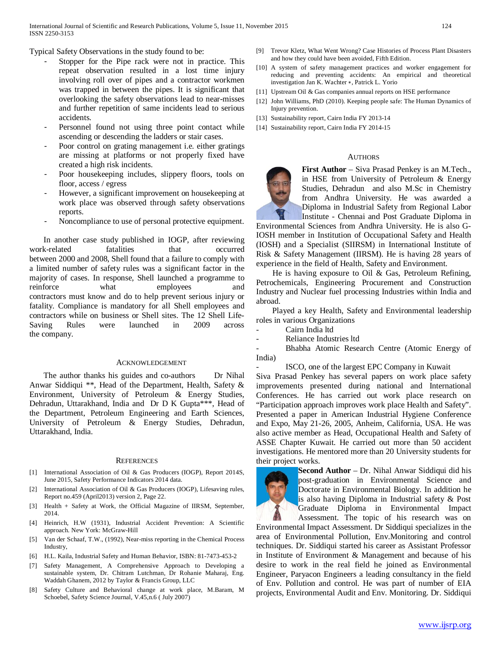Typical Safety Observations in the study found to be:

- Stopper for the Pipe rack were not in practice. This repeat observation resulted in a lost time injury involving roll over of pipes and a contractor workmen was trapped in between the pipes. It is significant that overlooking the safety observations lead to near-misses and further repetition of same incidents lead to serious accidents.
- Personnel found not using three point contact while ascending or descending the ladders or stair cases.
- Poor control on grating management *i.e.* either gratings are missing at platforms or not properly fixed have created a high risk incidents.
- Poor housekeeping includes, slippery floors, tools on floor, access / egress
- However, a significant improvement on housekeeping at work place was observed through safety observations reports.
- Noncompliance to use of personal protective equipment.

 In another case study published in IOGP, after reviewing work-related fatalities that occurred between 2000 and 2008, Shell found that a failure to comply with a limited number of safety rules was a significant factor in the majority of cases. In response, Shell launched a programme to reinforce what employees and contractors must know and do to help prevent serious injury or fatality. Compliance is mandatory for all Shell employees and contractors while on business or Shell sites. The 12 Shell Life-Saving Rules were launched in 2009 across the company.

#### ACKNOWLEDGEMENT

The author thanks his guides and co-authors Dr Nihal Anwar Siddiqui \*\*, Head of the Department, Health, Safety & Environment, University of Petroleum & Energy Studies, Dehradun, Uttarakhand, India and Dr D K Gupta\*\*\*, Head of the Department, Petroleum Engineering and Earth Sciences, University of Petroleum & Energy Studies, Dehradun, Uttarakhand, India.

#### **REFERENCES**

- [1] International Association of Oil & Gas Producers (IOGP), Report 2014S, June 2015, Safety Performance Indicators 2014 data.
- International Association of Oil & Gas Producers (IOGP), Lifesaving rules, Report no.459 (April2013) version 2, Page 22.
- [3] Health + Safety at Work, the Official Magazine of IIRSM, September, 2014.
- [4] Heinrich, H.W (1931), Industrial Accident Prevention: A Scientific approach. New York: McGraw-Hill
- [5] Van der Schaaf, T.W., (1992), Near-miss reporting in the Chemical Process Industry,
- [6] H.L. Kaila, Industrial Safety and Human Behavior, ISBN: 81-7473-453-2
- [7] Safety Management, A Comprehensive Approach to Developing a sustainable system, Dr. Chitram Lutchman, Dr Rohanie Maharaj, Eng. Waddah Ghanem, 2012 by Taylor & Francis Group, LLC
- [8] Safety Culture and Behavioral change at work place, M.Baram, M Schoebel, Safety Science Journal, V.45,n.6 ( July 2007)
- [9] Trevor Kletz, What Went Wrong? Case Histories of Process Plant Disasters and how they could have been avoided, Fifth Edition.
- [10] A system of safety management practices and worker engagement for reducing and preventing accidents: An empirical and theoretical investigation Jan K. Wachter ∗, Patrick L. Yorio
- [11] Upstream Oil & Gas companies annual reports on HSE performance
- [12] John Williams, PhD (2010). Keeping people safe: The Human Dynamics of Injury prevention.
- [13] Sustainability report, Cairn India FY 2013-14
- [14] Sustainability report, Cairn India FY 2014-15

#### AUTHORS



**First Author** – Siva Prasad Penkey is an M.Tech., in HSE from University of Petroleum & Energy Studies, Dehradun and also M.Sc in Chemistry from Andhra University. He was awarded a Diploma in Industrial Safety from Regional Labor Institute - Chennai and Post Graduate Diploma in

Environmental Sciences from Andhra University. He is also G-IOSH member in Institution of Occupational Safety and Health (IOSH) and a Specialist (SIIRSM) in International Institute of Risk & Safety Management (IIRSM). He is having 28 years of experience in the field of Health, Safety and Environment.

 He is having exposure to Oil & Gas, Petroleum Refining, Petrochemicals, Engineering Procurement and Construction Industry and Nuclear fuel processing Industries within India and abroad.

 Played a key Health, Safety and Environmental leadership roles in various Organizations

- Cairn India ltd

Reliance Industries ltd

Bhabha Atomic Research Centre (Atomic Energy of India)

- ISCO, one of the largest EPC Company in Kuwait

Siva Prasad Penkey has several papers on work place safety improvements presented during national and International Conferences. He has carried out work place research on "Participation approach improves work place Health and Safety". Presented a paper in American Industrial Hygiene Conference and Expo, May 21-26, 2005, Anheim, California, USA. He was also active member as Head, Occupational Health and Safety of ASSE Chapter Kuwait. He carried out more than 50 accident investigations. He mentored more than 20 University students for their project works.



**Second Author** – Dr. Nihal Anwar Siddiqui did his post-graduation in Environmental Science and Doctorate in Environmental Biology. In addition he is also having Diploma in Industrial safety & Post Graduate Diploma in Environmental Impact Assessment. The topic of his research was on

Environmental Impact Assessment. Dr Siddiqui specializes in the area of Environmental Pollution, Env.Monitoring and control techniques. Dr. Siddiqui started his career as Assistant Professor in Institute of Environment & Management and because of his desire to work in the real field he joined as Environmental Engineer, Paryacon Engineers a leading consultancy in the field of Env. Pollution and control. He was part of number of EIA projects, Environmental Audit and Env. Monitoring. Dr. Siddiqui